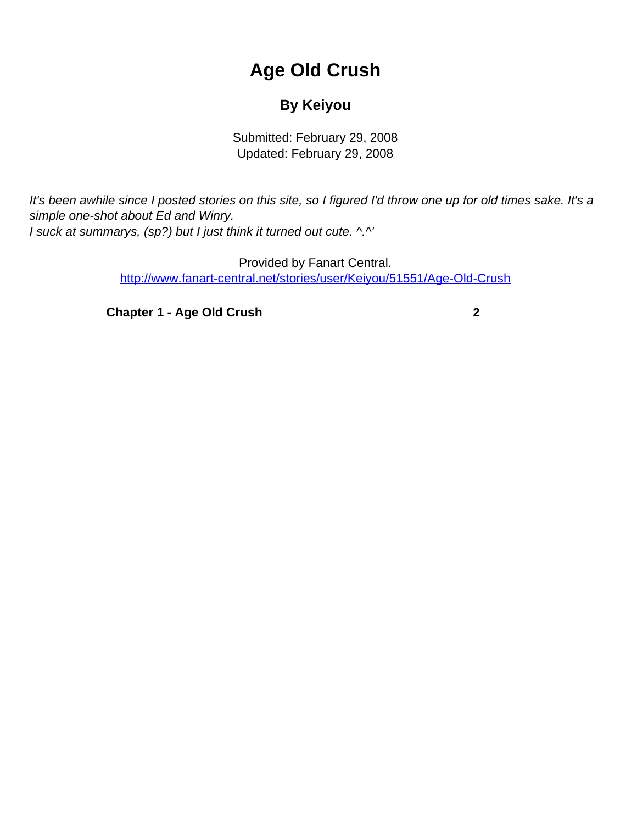## **Age Old Crush**

## **By Keiyou**

Submitted: February 29, 2008 Updated: February 29, 2008

<span id="page-0-0"></span>It's been awhile since I posted stories on this site, so I figured I'd throw one up for old times sake. It's a simple one-shot about Ed and Winry. I suck at summarys, (sp?) but I just think it turned out cute. ^.^'

> Provided by Fanart Central. [http://www.fanart-central.net/stories/user/Keiyou/51551/Age-Old-Crush](#page-0-0)

**[Chapter 1 - Age Old Crush](#page-1-0) [2](#page-1-0)**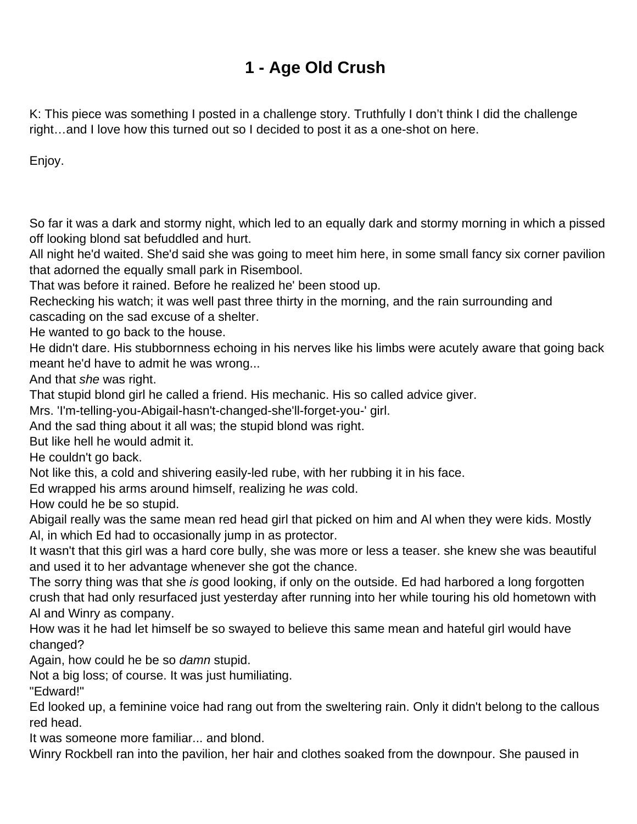## **1 - Age Old Crush**

<span id="page-1-0"></span>K: This piece was something I posted in a challenge story. Truthfully I don't think I did the challenge right…and I love how this turned out so I decided to post it as a one-shot on here.

Enjoy.

So far it was a dark and stormy night, which led to an equally dark and stormy morning in which a pissed off looking blond sat befuddled and hurt.

All night he'd waited. She'd said she was going to meet him here, in some small fancy six corner pavilion that adorned the equally small park in Risembool.

That was before it rained. Before he realized he' been stood up.

Rechecking his watch; it was well past three thirty in the morning, and the rain surrounding and cascading on the sad excuse of a shelter.

He wanted to go back to the house.

He didn't dare. His stubbornness echoing in his nerves like his limbs were acutely aware that going back meant he'd have to admit he was wrong...

And that she was right.

That stupid blond girl he called a friend. His mechanic. His so called advice giver.

Mrs. 'I'm-telling-you-Abigail-hasn't-changed-she'll-forget-you-' girl.

And the sad thing about it all was; the stupid blond was right.

But like hell he would admit it.

He couldn't go back.

Not like this, a cold and shivering easily-led rube, with her rubbing it in his face.

Ed wrapped his arms around himself, realizing he was cold.

How could he be so stupid.

Abigail really was the same mean red head girl that picked on him and Al when they were kids. Mostly Al, in which Ed had to occasionally jump in as protector.

It wasn't that this girl was a hard core bully, she was more or less a teaser. she knew she was beautiful and used it to her advantage whenever she got the chance.

The sorry thing was that she is good looking, if only on the outside. Ed had harbored a long forgotten crush that had only resurfaced just yesterday after running into her while touring his old hometown with Al and Winry as company.

How was it he had let himself be so swayed to believe this same mean and hateful girl would have changed?

Again, how could he be so *damn* stupid.

Not a big loss; of course. It was just humiliating.

"Edward!"

Ed looked up, a feminine voice had rang out from the sweltering rain. Only it didn't belong to the callous red head.

It was someone more familiar... and blond.

Winry Rockbell ran into the pavilion, her hair and clothes soaked from the downpour. She paused in